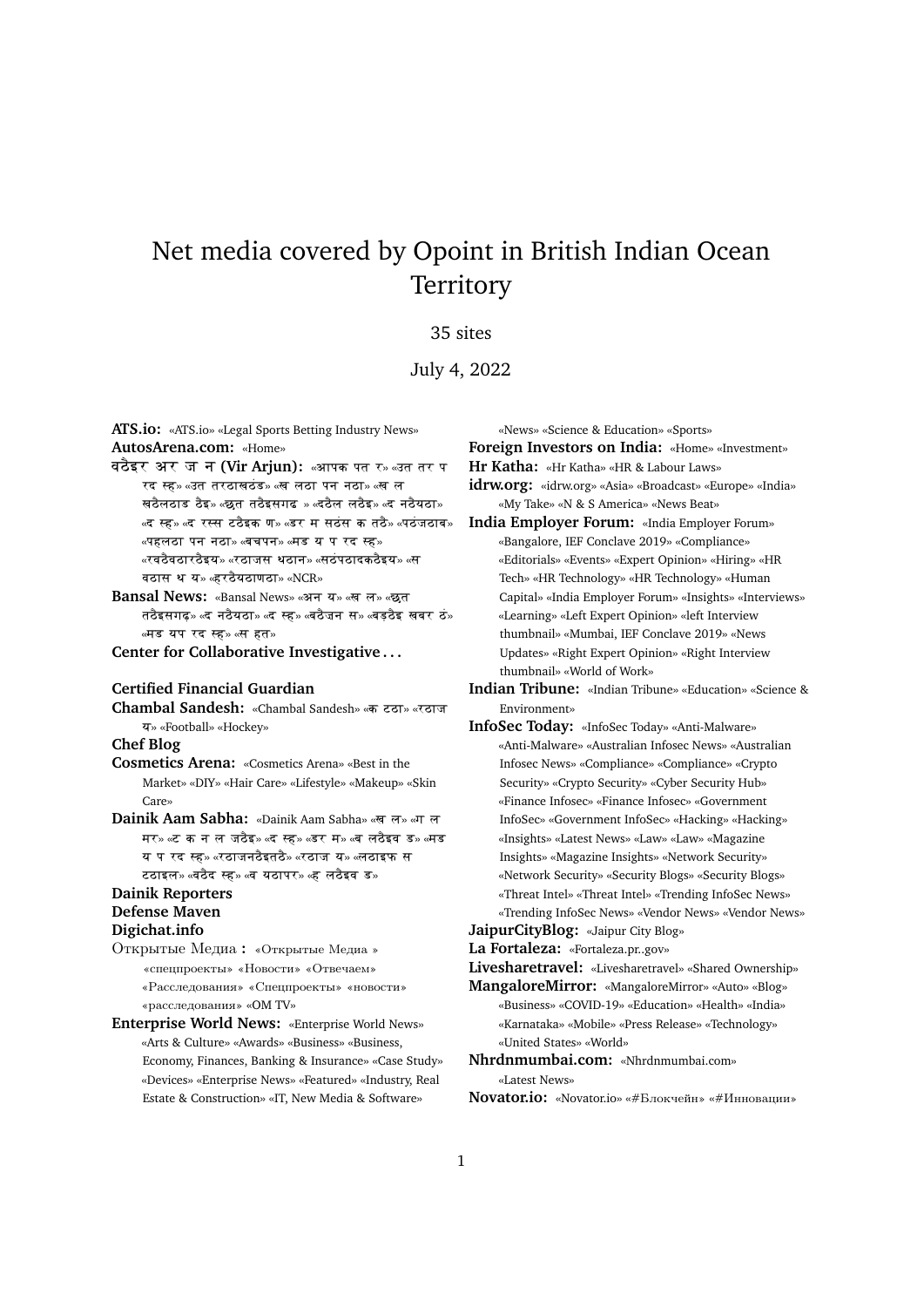# Net media covered by Opoint in British Indian Ocean **Territory**

#### 35 sites

#### July 4, 2022

**ATS.io:** «ATS.io» «Legal Sports Betting Industry News» **AutosArena.com:** «Home»

**वठैइर अर ज न (Vir Arjun): «आपक पत र» «उत तर प** रद स्ह» «उत तरठाखठंड» «ख लठा पन नठा» «ख ल सठैलठाड ठैइ» «छुत तठैइसगढ » «दठैल लठैइ» «द नठैयठा» «द स्ह» «द रस्स टठैइक ण» «डर म सठंस क तठै» «पठंजठाब» «पहलठा पन नठा» «बचपन» «मड य प रद स्ह»  $\;$ «रवठैवठारठैइय» «रठाजस थठान» «सठंपठादकठैइय» «स वठास थ य» «हरठैयठाणठा» «NCR»

Bansal News: «Bansal News» «अन य» «ख ल» «छत तठैइसगढ़» «द नठैयठा» «द स्ह» «बठैजन स» «बड़ठैइ खबर ठं» «मड यप रद स्ह» «स हत»

**Center for Collaborative Investigative . . .**

#### **Certified Financial Guardian**

Chambal Sandesh: «Chambal Sandesh» «**ক** टूटा» «रुटाज y» «Football» «Hockey» **Chef Blog**

- **Cosmetics Arena:** «Cosmetics Arena» «Best in the Market» «DIY» «Hair Care» «Lifestyle» «Makeup» «Skin Care»
- Dainik Aam Sabha: «Dainik Aam Sabha» «खल» «गल मर» «ट क न ल जठैइ» «द स्ह» «डर म» «ब लठैइव ड» «मड य प रद स्ह» «रठाजनठैइतठै» «रठाज य» «लठाइफ स टठाइल» «वठैद स्ह» «व यठापर» «ह लठैइव ड»

### **Dainik Reporters Defense Maven**

#### **Digichat.info**

Открытые Медиа **:** «Открытые Медиа » «cпецпроекты» «Новости» «Отвечаем» «Расследования» «Спецпроекты» «новости» «расследования» «OM TV»

**Enterprise World News:** «Enterprise World News» «Arts & Culture» «Awards» «Business» «Business, Economy, Finances, Banking & Insurance» «Case Study» «Devices» «Enterprise News» «Featured» «Industry, Real Estate & Construction» «IT, New Media & Software»

«News» «Science & Education» «Sports»

**Foreign Investors on India:** «Home» «Investment»

- **Hr Katha:** «Hr Katha» «HR & Labour Laws»
- **idrw.org:** «idrw.org» «Asia» «Broadcast» «Europe» «India» «My Take» «N & S America» «News Beat»
- **India Employer Forum:** «India Employer Forum» «Bangalore, IEF Conclave 2019» «Compliance» «Editorials» «Events» «Expert Opinion» «Hiring» «HR Tech» «HR Technology» «HR Technology» «Human Capital» «India Employer Forum» «Insights» «Interviews» «Learning» «Left Expert Opinion» «left Interview thumbnail» «Mumbai, IEF Conclave 2019» «News Updates» «Right Expert Opinion» «Right Interview thumbnail» «World of Work»
- **Indian Tribune:** «Indian Tribune» «Education» «Science & Environment»
- **InfoSec Today:** «InfoSec Today» «Anti-Malware» «Anti-Malware» «Australian Infosec News» «Australian Infosec News» «Compliance» «Compliance» «Crypto Security» «Crypto Security» «Cyber Security Hub» «Finance Infosec» «Finance Infosec» «Government InfoSec» «Government InfoSec» «Hacking» «Hacking» «Insights» «Latest News» «Law» «Law» «Magazine Insights» «Magazine Insights» «Network Security» «Network Security» «Security Blogs» «Security Blogs» «Threat Intel» «Threat Intel» «Trending InfoSec News» «Trending InfoSec News» «Vendor News» «Vendor News»

**JaipurCityBlog:** «Jaipur City Blog»

**La Fortaleza:** «Fortaleza.pr..gov»

**Livesharetravel:** «Livesharetravel» «Shared Ownership»

- **MangaloreMirror:** «MangaloreMirror» «Auto» «Blog» «Business» «COVID-19» «Education» «Health» «India» «Karnataka» «Mobile» «Press Release» «Technology» «United States» «World»
- **Nhrdnmumbai.com:** «Nhrdnmumbai.com» «Latest News»
- **Novator.io:** «Novator.io» «#Блокчейн» «#Инновации»